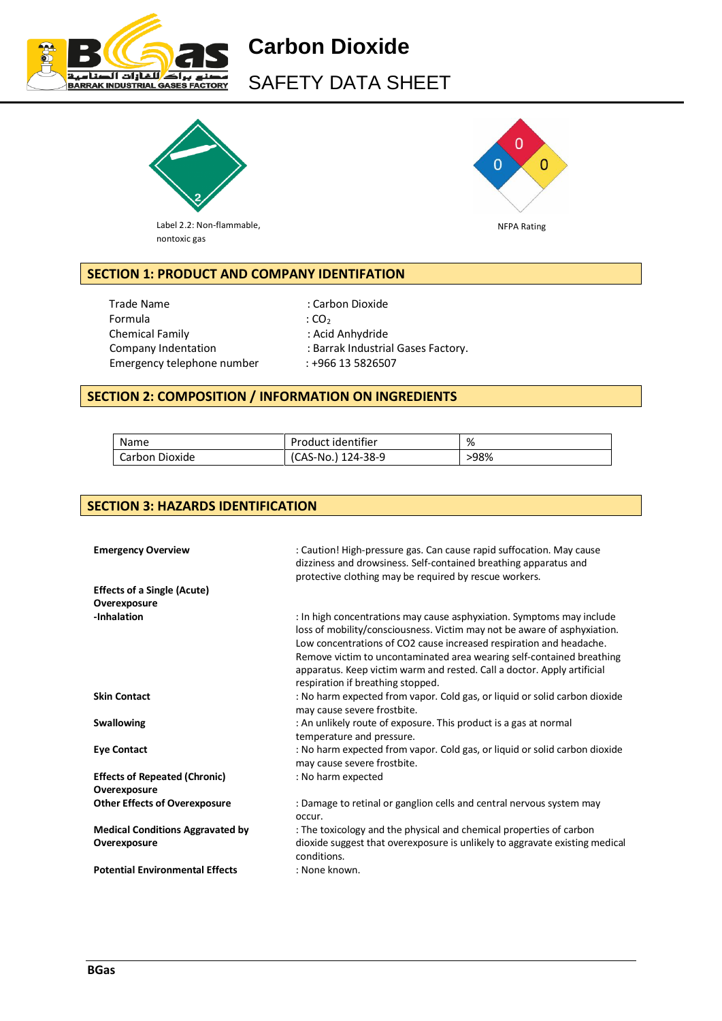

**Carbon Dioxide** SAFETY DATA SHEET



Label 2.2: Non-flammable, nontoxic gas



# **SECTION 1: PRODUCT AND COMPANY IDENTIFATION**

Trade Name : Carbon Dioxide Formula  $\qquad \qquad : CO<sub>2</sub>$ Chemical Family **Example 2**: Acid Anhydride Company Indentation : Barrak Industrial Gases Factory. Emergency telephone number : +966 13 5826507

# **SECTION 2: COMPOSITION / INFORMATION ON INGREDIENTS**

| Name             | Product identifier | %    |
|------------------|--------------------|------|
| l Carbon Dioxide | (CAS-No.) 124-38-9 | >98% |

# **SECTION 3: HAZARDS IDENTIFICATION**

| <b>Emergency Overview</b><br><b>Effects of a Single (Acute)</b> | : Caution! High-pressure gas. Can cause rapid suffocation. May cause<br>dizziness and drowsiness. Self-contained breathing apparatus and<br>protective clothing may be required by rescue workers.                                                                                                                                                                                                                |
|-----------------------------------------------------------------|-------------------------------------------------------------------------------------------------------------------------------------------------------------------------------------------------------------------------------------------------------------------------------------------------------------------------------------------------------------------------------------------------------------------|
| Overexposure<br>-Inhalation                                     | : In high concentrations may cause asphyxiation. Symptoms may include<br>loss of mobility/consciousness. Victim may not be aware of asphyxiation.<br>Low concentrations of CO2 cause increased respiration and headache.<br>Remove victim to uncontaminated area wearing self-contained breathing<br>apparatus. Keep victim warm and rested. Call a doctor. Apply artificial<br>respiration if breathing stopped. |
| <b>Skin Contact</b>                                             | : No harm expected from vapor. Cold gas, or liquid or solid carbon dioxide<br>may cause severe frostbite.                                                                                                                                                                                                                                                                                                         |
| <b>Swallowing</b>                                               | : An unlikely route of exposure. This product is a gas at normal<br>temperature and pressure.                                                                                                                                                                                                                                                                                                                     |
| <b>Eye Contact</b>                                              | : No harm expected from vapor. Cold gas, or liquid or solid carbon dioxide<br>may cause severe frostbite.                                                                                                                                                                                                                                                                                                         |
| <b>Effects of Repeated (Chronic)</b><br>Overexposure            | : No harm expected                                                                                                                                                                                                                                                                                                                                                                                                |
| <b>Other Effects of Overexposure</b>                            | : Damage to retinal or ganglion cells and central nervous system may<br>occur.                                                                                                                                                                                                                                                                                                                                    |
| <b>Medical Conditions Aggravated by</b><br>Overexposure         | : The toxicology and the physical and chemical properties of carbon<br>dioxide suggest that overexposure is unlikely to aggravate existing medical<br>conditions.                                                                                                                                                                                                                                                 |
| <b>Potential Environmental Effects</b>                          | : None known.                                                                                                                                                                                                                                                                                                                                                                                                     |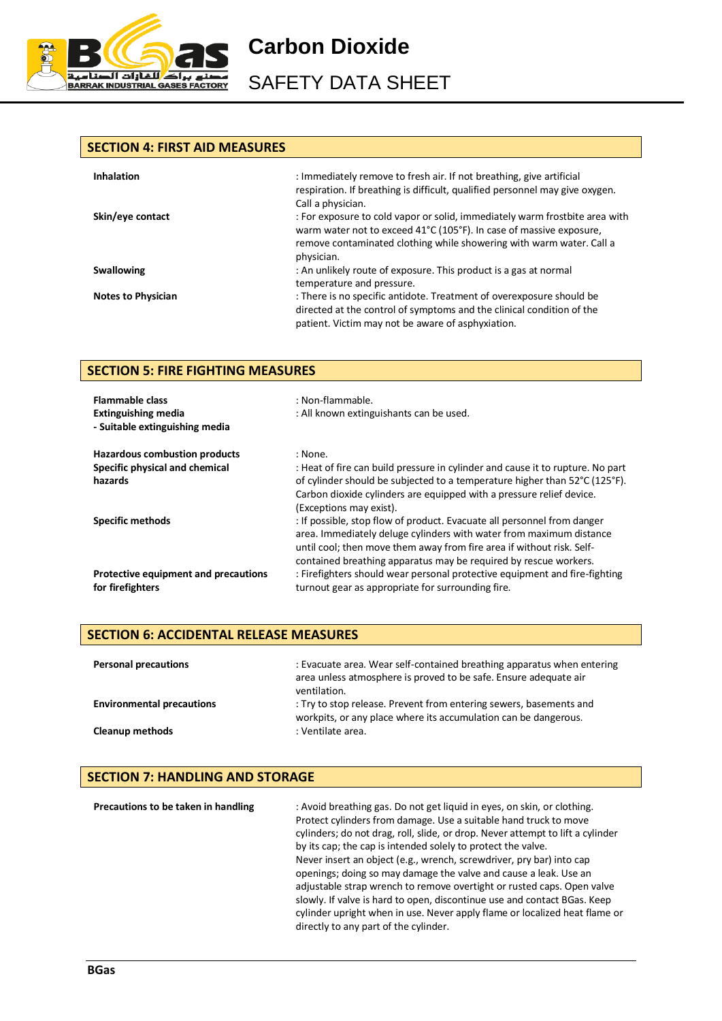

SAFETY DATA SHEET

## **SECTION 4: FIRST AID MEASURES**

| <b>Inhalation</b>         | : Immediately remove to fresh air. If not breathing, give artificial<br>respiration. If breathing is difficult, qualified personnel may give oxygen.<br>Call a physician.                                                                |
|---------------------------|------------------------------------------------------------------------------------------------------------------------------------------------------------------------------------------------------------------------------------------|
| Skin/eye contact          | : For exposure to cold vapor or solid, immediately warm frostbite area with<br>warm water not to exceed 41°C (105°F). In case of massive exposure,<br>remove contaminated clothing while showering with warm water. Call a<br>physician. |
| <b>Swallowing</b>         | : An unlikely route of exposure. This product is a gas at normal<br>temperature and pressure.                                                                                                                                            |
| <b>Notes to Physician</b> | : There is no specific antidote. Treatment of overexposure should be<br>directed at the control of symptoms and the clinical condition of the<br>patient. Victim may not be aware of asphyxiation.                                       |

# **SECTION 5: FIRE FIGHTING MEASURES**

| <b>Flammable class</b><br><b>Extinguishing media</b><br>- Suitable extinguishing media | : Non-flammable.<br>: All known extinguishants can be used.                                                                                                                                                                                                                                 |
|----------------------------------------------------------------------------------------|---------------------------------------------------------------------------------------------------------------------------------------------------------------------------------------------------------------------------------------------------------------------------------------------|
| <b>Hazardous combustion products</b>                                                   | : None.                                                                                                                                                                                                                                                                                     |
| Specific physical and chemical                                                         | : Heat of fire can build pressure in cylinder and cause it to rupture. No part                                                                                                                                                                                                              |
| hazards                                                                                | of cylinder should be subjected to a temperature higher than 52°C (125°F).<br>Carbon dioxide cylinders are equipped with a pressure relief device.<br>(Exceptions may exist).                                                                                                               |
| <b>Specific methods</b>                                                                | : If possible, stop flow of product. Evacuate all personnel from danger<br>area. Immediately deluge cylinders with water from maximum distance<br>until cool; then move them away from fire area if without risk. Self-<br>contained breathing apparatus may be required by rescue workers. |
| Protective equipment and precautions<br>for firefighters                               | : Firefighters should wear personal protective equipment and fire-fighting<br>turnout gear as appropriate for surrounding fire.                                                                                                                                                             |

# **SECTION 6: ACCIDENTAL RELEASE MEASURES**

| <b>Personal precautions</b>      | : Evacuate area. Wear self-contained breathing apparatus when entering<br>area unless atmosphere is proved to be safe. Ensure adequate air<br>ventilation. |
|----------------------------------|------------------------------------------------------------------------------------------------------------------------------------------------------------|
| <b>Environmental precautions</b> | : Try to stop release. Prevent from entering sewers, basements and<br>workpits, or any place where its accumulation can be dangerous.                      |
| <b>Cleanup methods</b>           | : Ventilate area.                                                                                                                                          |

# **SECTION 7: HANDLING AND STORAGE**

| Precautions to be taken in handling | : Avoid breathing gas. Do not get liquid in eyes, on skin, or clothing.<br>Protect cylinders from damage. Use a suitable hand truck to move<br>cylinders; do not drag, roll, slide, or drop. Never attempt to lift a cylinder<br>by its cap; the cap is intended solely to protect the valve.<br>Never insert an object (e.g., wrench, screwdriver, pry bar) into cap<br>openings; doing so may damage the valve and cause a leak. Use an<br>adjustable strap wrench to remove overtight or rusted caps. Open valve<br>slowly. If valve is hard to open, discontinue use and contact BGas. Keep<br>cylinder upright when in use. Never apply flame or localized heat flame or<br>directly to any part of the cylinder. |
|-------------------------------------|------------------------------------------------------------------------------------------------------------------------------------------------------------------------------------------------------------------------------------------------------------------------------------------------------------------------------------------------------------------------------------------------------------------------------------------------------------------------------------------------------------------------------------------------------------------------------------------------------------------------------------------------------------------------------------------------------------------------|
|-------------------------------------|------------------------------------------------------------------------------------------------------------------------------------------------------------------------------------------------------------------------------------------------------------------------------------------------------------------------------------------------------------------------------------------------------------------------------------------------------------------------------------------------------------------------------------------------------------------------------------------------------------------------------------------------------------------------------------------------------------------------|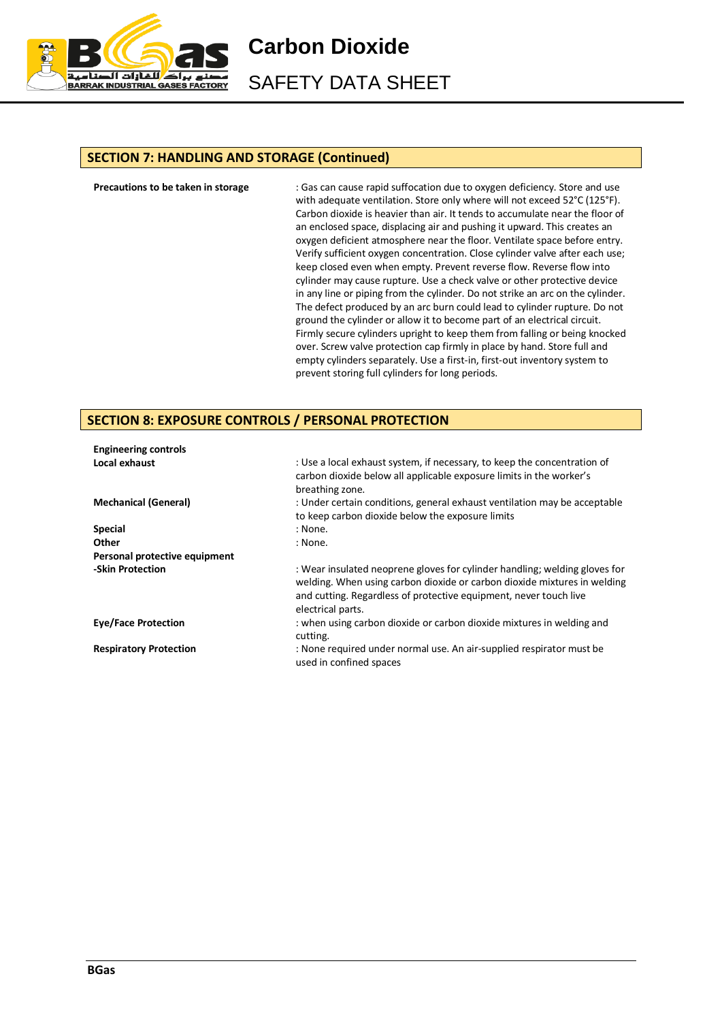

SAFETY DATA SHEET

## **SECTION 7: HANDLING AND STORAGE (Continued)**

**Precautions to be taken in storage** : Gas can cause rapid suffocation due to oxygen deficiency. Store and use with adequate ventilation. Store only where will not exceed 52°C (125°F). Carbon dioxide is heavier than air. It tends to accumulate near the floor of an enclosed space, displacing air and pushing it upward. This creates an oxygen deficient atmosphere near the floor. Ventilate space before entry. Verify sufficient oxygen concentration. Close cylinder valve after each use; keep closed even when empty. Prevent reverse flow. Reverse flow into cylinder may cause rupture. Use a check valve or other protective device in any line or piping from the cylinder. Do not strike an arc on the cylinder. The defect produced by an arc burn could lead to cylinder rupture. Do not ground the cylinder or allow it to become part of an electrical circuit. Firmly secure cylinders upright to keep them from falling or being knocked over. Screw valve protection cap firmly in place by hand. Store full and empty cylinders separately. Use a first-in, first-out inventory system to prevent storing full cylinders for long periods.

#### **SECTION 8: EXPOSURE CONTROLS / PERSONAL PROTECTION**

| <b>Engineering controls</b>   |                                                                                                                                                                                                                                                  |
|-------------------------------|--------------------------------------------------------------------------------------------------------------------------------------------------------------------------------------------------------------------------------------------------|
| Local exhaust                 | : Use a local exhaust system, if necessary, to keep the concentration of<br>carbon dioxide below all applicable exposure limits in the worker's<br>breathing zone.                                                                               |
| <b>Mechanical (General)</b>   | : Under certain conditions, general exhaust ventilation may be acceptable<br>to keep carbon dioxide below the exposure limits                                                                                                                    |
| <b>Special</b>                | : None.                                                                                                                                                                                                                                          |
| Other                         | : None.                                                                                                                                                                                                                                          |
| Personal protective equipment |                                                                                                                                                                                                                                                  |
| -Skin Protection              | : Wear insulated neoprene gloves for cylinder handling; welding gloves for<br>welding. When using carbon dioxide or carbon dioxide mixtures in welding<br>and cutting. Regardless of protective equipment, never touch live<br>electrical parts. |
| <b>Eye/Face Protection</b>    | : when using carbon dioxide or carbon dioxide mixtures in welding and<br>cutting.                                                                                                                                                                |
| <b>Respiratory Protection</b> | : None required under normal use. An air-supplied respirator must be<br>used in confined spaces                                                                                                                                                  |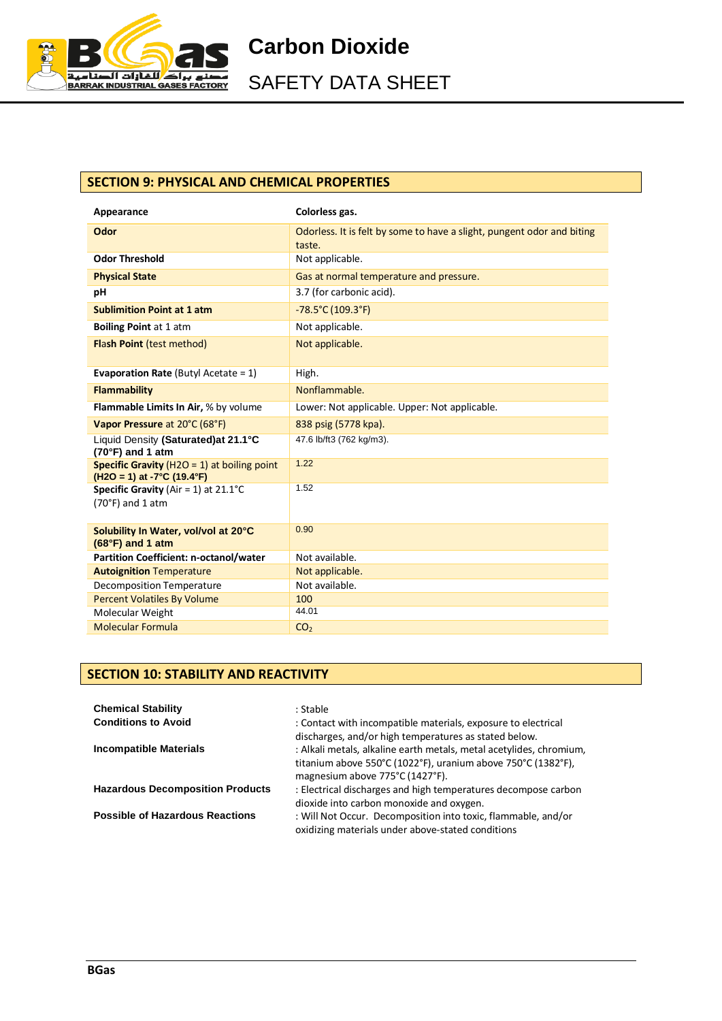

SAFETY DATA SHEET

# **SECTION 9: PHYSICAL AND CHEMICAL PROPERTIES**

| Appearance                                                                      | Colorless gas.                                                                   |
|---------------------------------------------------------------------------------|----------------------------------------------------------------------------------|
| Odor                                                                            | Odorless. It is felt by some to have a slight, pungent odor and biting<br>taste. |
| <b>Odor Threshold</b>                                                           | Not applicable.                                                                  |
| <b>Physical State</b>                                                           | Gas at normal temperature and pressure.                                          |
| рH                                                                              | 3.7 (for carbonic acid).                                                         |
| <b>Sublimition Point at 1 atm</b>                                               | $-78.5^{\circ}$ C (109.3°F)                                                      |
| <b>Boiling Point at 1 atm</b>                                                   | Not applicable.                                                                  |
| <b>Flash Point (test method)</b>                                                | Not applicable.                                                                  |
| <b>Evaporation Rate (Butyl Acetate = 1)</b>                                     | High.                                                                            |
| <b>Flammability</b>                                                             | Nonflammable.                                                                    |
| Flammable Limits In Air, % by volume                                            | Lower: Not applicable. Upper: Not applicable.                                    |
| Vapor Pressure at 20°C (68°F)                                                   | 838 psig (5778 kpa).                                                             |
| Liquid Density (Saturated) at 21.1°C<br>$(70°F)$ and 1 atm                      | 47.6 lb/ft3 (762 kg/m3).                                                         |
| Specific Gravity ( $H2O = 1$ ) at boiling point<br>$(H2O = 1)$ at -7°C (19.4°F) | 1.22                                                                             |
| <b>Specific Gravity</b> (Air = 1) at $21.1^{\circ}$ C<br>$(70°F)$ and 1 atm     | 1.52                                                                             |
| Solubility In Water, vol/vol at 20°C<br>$(68°F)$ and 1 atm                      | 0.90                                                                             |
| <b>Partition Coefficient: n-octanol/water</b>                                   | Not available.                                                                   |
| <b>Autoignition Temperature</b>                                                 | Not applicable.                                                                  |
| <b>Decomposition Temperature</b>                                                | Not available.                                                                   |
| <b>Percent Volatiles By Volume</b>                                              | 100                                                                              |
| Molecular Weight                                                                | 44.01                                                                            |
| <b>Molecular Formula</b>                                                        | CO <sub>2</sub>                                                                  |

# **SECTION 10: STABILITY AND REACTIVITY**

| <b>Chemical Stability</b><br><b>Conditions to Avoid</b> | : Stable<br>: Contact with incompatible materials, exposure to electrical<br>discharges, and/or high temperatures as stated below.                                     |
|---------------------------------------------------------|------------------------------------------------------------------------------------------------------------------------------------------------------------------------|
| <b>Incompatible Materials</b>                           | : Alkali metals, alkaline earth metals, metal acetylides, chromium,<br>titanium above 550°C (1022°F), uranium above 750°C (1382°F),<br>magnesium above 775°C (1427°F). |
| <b>Hazardous Decomposition Products</b>                 | : Electrical discharges and high temperatures decompose carbon<br>dioxide into carbon monoxide and oxygen.                                                             |
| <b>Possible of Hazardous Reactions</b>                  | : Will Not Occur. Decomposition into toxic, flammable, and/or<br>oxidizing materials under above-stated conditions                                                     |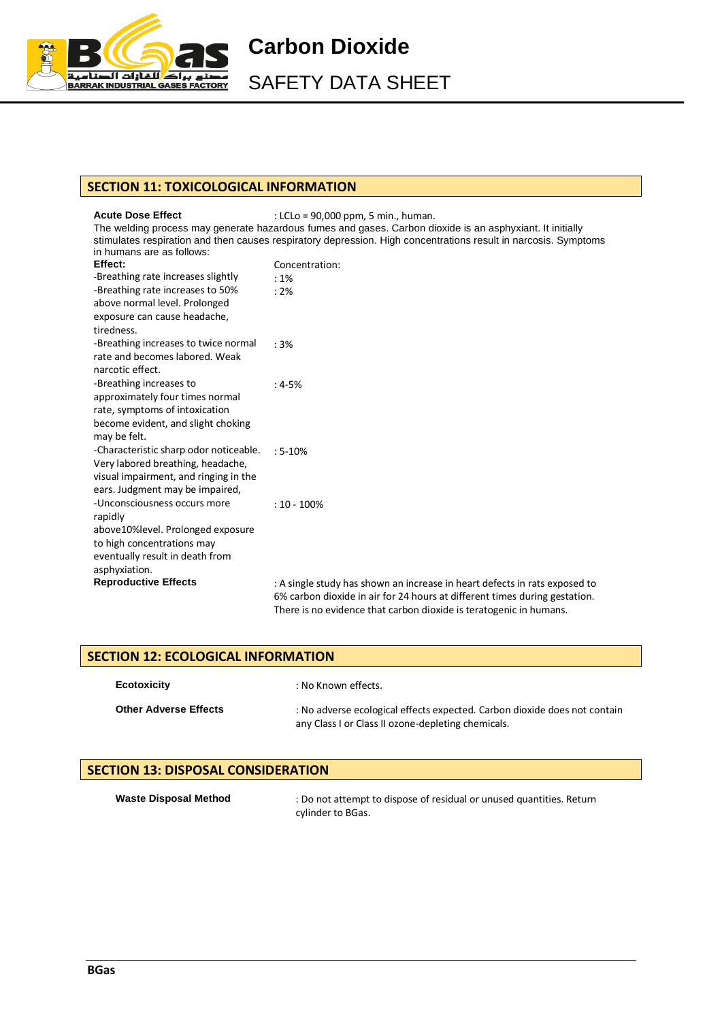

SAFETY DATA SHEET

## **SECTION 11: TOXICOLOGICAL INFORMATION**

#### Acute Dose Effect **in the set of the CLC** = 90,000 ppm, 5 min., human.

The welding process may generate hazardous fumes and gases. Carbon dioxide is an asphyxiant. It initially stimulates respiration and then causes respiratory depression. High concentrations result in narcosis. Symptoms in humans are as follows: **Effect:** Concentration:

|                                        | CUNCENTIQUUN.                                                              |
|----------------------------------------|----------------------------------------------------------------------------|
| -Breathing rate increases slightly     | $:1\%$                                                                     |
| -Breathing rate increases to 50%       | :2%                                                                        |
| above normal level. Prolonged          |                                                                            |
| exposure can cause headache,           |                                                                            |
| tiredness.                             |                                                                            |
| -Breathing increases to twice normal   | :3%                                                                        |
| rate and becomes labored. Weak         |                                                                            |
| narcotic effect.                       |                                                                            |
| -Breathing increases to                | $:4-5%$                                                                    |
| approximately four times normal        |                                                                            |
| rate, symptoms of intoxication         |                                                                            |
| become evident, and slight choking     |                                                                            |
| may be felt.                           |                                                                            |
| -Characteristic sharp odor noticeable. | $: 5 - 10%$                                                                |
| Very labored breathing, headache,      |                                                                            |
| visual impairment, and ringing in the  |                                                                            |
| ears. Judgment may be impaired,        |                                                                            |
| -Unconsciousness occurs more           | $: 10 - 100\%$                                                             |
| rapidly                                |                                                                            |
| above 10% level. Prolonged exposure    |                                                                            |
| to high concentrations may             |                                                                            |
| eventually result in death from        |                                                                            |
| asphyxiation.                          |                                                                            |
| <b>Reproductive Effects</b>            | : A single study has shown an increase in heart defects in rats exposed to |
|                                        | 6% carbon dioxide in air for 24 hours at different times during gestation. |
|                                        | There is no evidence that carbon dioxide is teratogenic in humans.         |

| <b>SECTION 12: ECOLOGICAL INFORMATION</b> |                                                                                                                                 |
|-------------------------------------------|---------------------------------------------------------------------------------------------------------------------------------|
| <b>Ecotoxicity</b>                        | : No Known effects.                                                                                                             |
| <b>Other Adverse Effects</b>              | : No adverse ecological effects expected. Carbon dioxide does not contain<br>any Class I or Class II ozone-depleting chemicals. |

# **SECTION 13: DISPOSAL CONSIDERATION**

| <b>Waste Disposal Method</b> |  |
|------------------------------|--|
|------------------------------|--|

: Do not attempt to dispose of residual or unused quantities. Return cylinder to BGas.